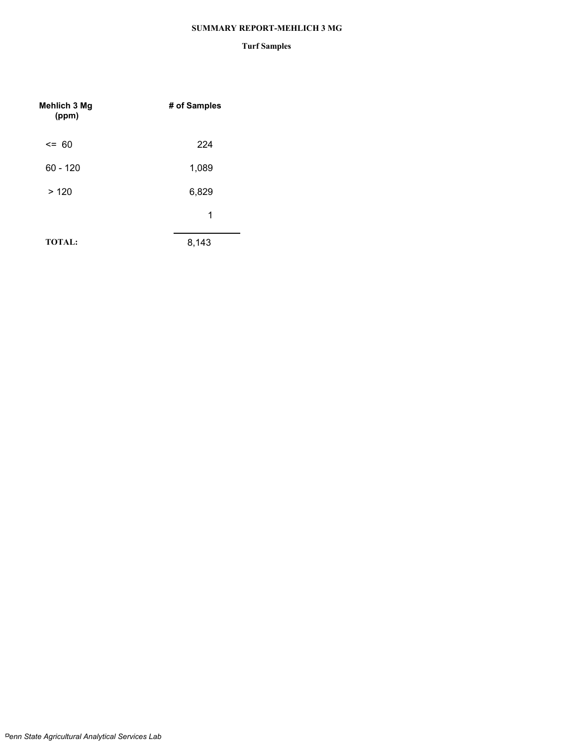#### **SUMMARY REPORT-MEHLICH 3 MG**

#### **Turf Samples**

| Mehlich 3 Mg<br>(ppm) | # of Samples |
|-----------------------|--------------|
| $\leq$ 60             | 224          |
| $60 - 120$            | 1,089        |
| >120                  | 6,829        |
|                       | 1            |
| <b>TOTAL:</b>         | 8,143        |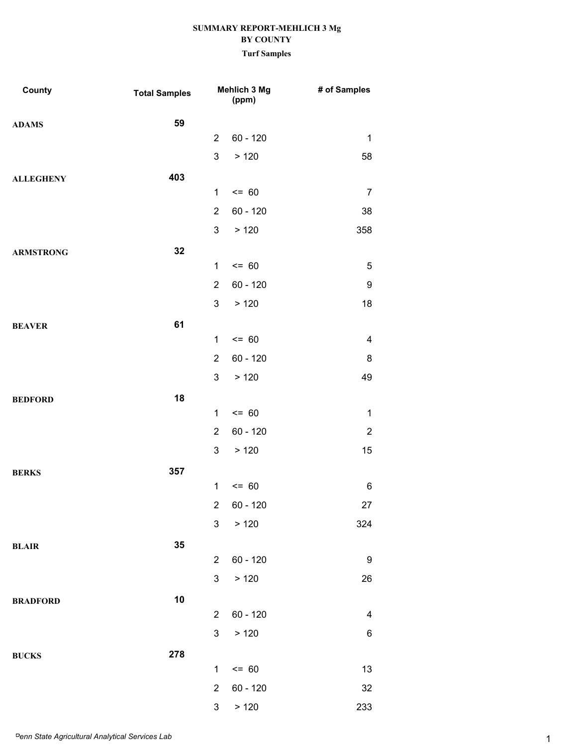| County           | <b>Total Samples</b> |                | Mehlich 3 Mg<br>(ppm) | # of Samples             |
|------------------|----------------------|----------------|-----------------------|--------------------------|
| <b>ADAMS</b>     | 59                   |                |                       |                          |
|                  |                      | $\overline{2}$ | $60 - 120$            | $\mathbf{1}$             |
|                  |                      | 3              | > 120                 | 58                       |
| <b>ALLEGHENY</b> | 403                  |                |                       |                          |
|                  |                      | $\mathbf{1}$   | $= 60$                | $\overline{7}$           |
|                  |                      | $\overline{2}$ | $60 - 120$            | 38                       |
|                  |                      | $\mathbf{3}$   | > 120                 | 358                      |
| <b>ARMSTRONG</b> | 32                   |                |                       |                          |
|                  |                      | $\mathbf 1$    | $= 60$                | $\mathbf 5$              |
|                  |                      | $\overline{2}$ | $60 - 120$            | 9                        |
|                  |                      | 3              | > 120                 | 18                       |
| <b>BEAVER</b>    | 61                   |                |                       |                          |
|                  |                      | $\mathbf{1}$   | $= 60$                | $\overline{\mathcal{A}}$ |
|                  |                      | $\overline{2}$ | $60 - 120$            | 8                        |
|                  |                      | $\mathbf{3}$   | >120                  | 49                       |
| <b>BEDFORD</b>   | 18                   |                |                       |                          |
|                  |                      | $\mathbf 1$    | $= 60$                | $\mathbf{1}$             |
|                  |                      | $\overline{2}$ | $60 - 120$            | $\overline{2}$           |
|                  |                      | 3              | > 120                 | 15                       |
| <b>BERKS</b>     | 357                  |                |                       |                          |
|                  |                      | $\mathbf{1}$   | $= 60$                | 6                        |
|                  |                      | $\overline{c}$ | $60 - 120$            | $27\,$                   |
|                  |                      | $\mathbf{3}$   | > 120                 | 324                      |
| BLAIR            | 35                   |                |                       |                          |
|                  |                      | $\overline{2}$ | $60 - 120$            | 9                        |
|                  |                      | 3              | > 120                 | 26                       |
| <b>BRADFORD</b>  | 10                   |                |                       |                          |
|                  |                      | $\overline{2}$ | $60 - 120$            | $\overline{\mathbf{4}}$  |
|                  |                      | 3 <sup>1</sup> | > 120                 | $\,6$                    |
| <b>BUCKS</b>     | 278                  |                |                       |                          |
|                  |                      | $\mathbf 1$    | $\leq$ 60             | 13                       |
|                  |                      | $\overline{2}$ | $60 - 120$            | $32\,$                   |
|                  |                      | 3 <sup>7</sup> | > 120                 | 233                      |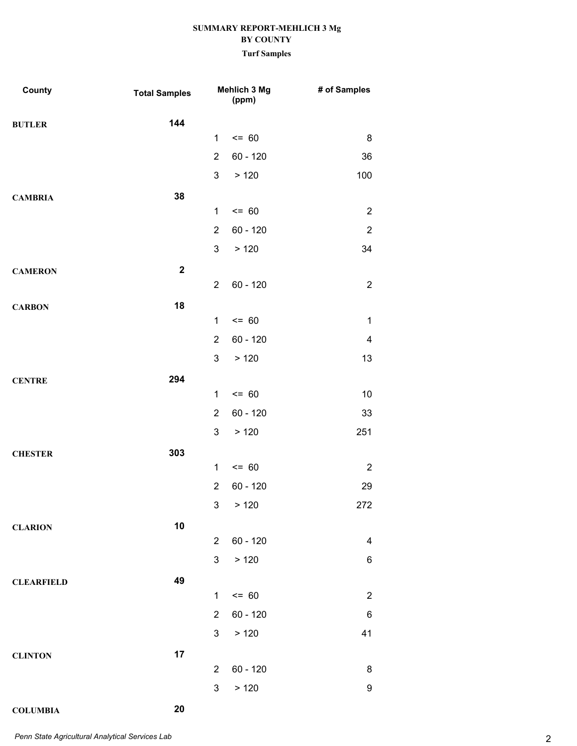| County            | <b>Total Samples</b> |                | Mehlich 3 Mg<br>(ppm) | # of Samples            |
|-------------------|----------------------|----------------|-----------------------|-------------------------|
| <b>BUTLER</b>     | 144                  |                |                       |                         |
|                   |                      | $\mathbf{1}$   | $= 60$                | 8                       |
|                   |                      | $\overline{2}$ | $60 - 120$            | 36                      |
|                   |                      | 3              | > 120                 | 100                     |
| <b>CAMBRIA</b>    | 38                   |                |                       |                         |
|                   |                      | $\mathbf 1$    | $= 60$                | $\overline{2}$          |
|                   |                      | $\overline{2}$ | $60 - 120$            | $\overline{2}$          |
|                   |                      | 3              | > 120                 | 34                      |
| <b>CAMERON</b>    | $\mathbf 2$          |                |                       |                         |
|                   |                      | $\overline{2}$ | $60 - 120$            | $\overline{2}$          |
| <b>CARBON</b>     | 18                   |                |                       |                         |
|                   |                      | $\mathbf 1$    | $= 60$                | $\mathbf 1$             |
|                   |                      | $\overline{2}$ | $60 - 120$            | $\overline{\mathbf{4}}$ |
|                   |                      | 3              | > 120                 | 13                      |
| <b>CENTRE</b>     | 294                  |                |                       |                         |
|                   |                      | $\mathbf 1$    | $= 60$                | 10                      |
|                   |                      | $\overline{2}$ | 60 - 120              | 33                      |
|                   |                      | 3              | > 120                 | 251                     |
| <b>CHESTER</b>    | 303                  |                |                       |                         |
|                   |                      | $\mathbf 1$    | $= 60$                | $\overline{2}$          |
|                   |                      | $\overline{2}$ | $60 - 120$            | 29                      |
|                   |                      |                | 3 > 120               | 272                     |
| <b>CLARION</b>    | 10                   |                |                       |                         |
|                   |                      | $\overline{2}$ | $60 - 120$            | 4                       |
|                   |                      | $\mathfrak{S}$ | > 120                 | 6                       |
| <b>CLEARFIELD</b> | 49                   |                |                       |                         |
|                   |                      | $\mathbf 1$    | $= 60$                | $\overline{2}$          |
|                   |                      | $\overline{2}$ | $60 - 120$            | 6                       |
|                   |                      | 3              | > 120                 | 41                      |
| <b>CLINTON</b>    | 17                   |                |                       |                         |
|                   |                      | $\overline{2}$ | $60 - 120$            | 8                       |
|                   |                      | 3              | >120                  | 9                       |
| <b>COLUMBIA</b>   | 20                   |                |                       |                         |

2 *Penn State Agricultural Analytical Services Lab*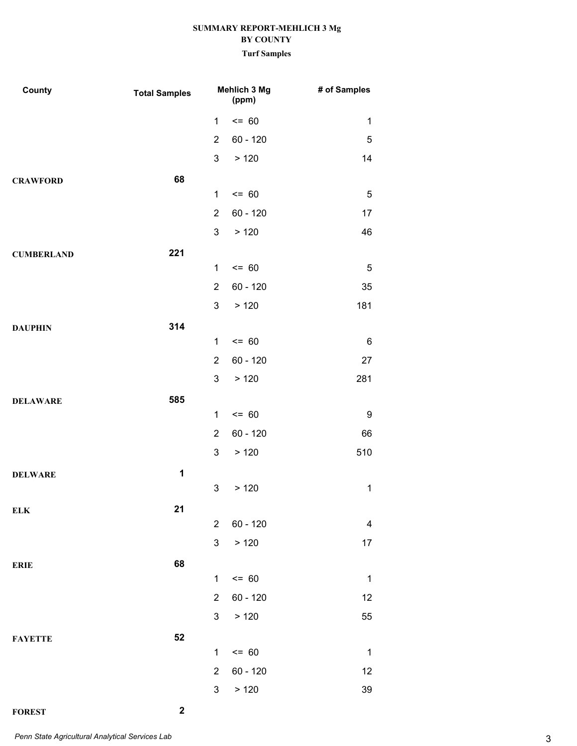# **SUMMARY REPORT-MEHLICH 3 Mg BY COUNTY**

**Turf Samples**

| County            | <b>Total Samples</b> | Mehlich 3 Mg<br>(ppm) |            | # of Samples |
|-------------------|----------------------|-----------------------|------------|--------------|
|                   |                      | 1                     | $= 60$     | $\mathbf 1$  |
|                   |                      | $\overline{2}$        | $60 - 120$ | 5            |
|                   |                      | 3                     | > 120      | 14           |
| <b>CRAWFORD</b>   | 68                   |                       |            |              |
|                   |                      | $\mathbf{1}$          | $= 60$     | 5            |
|                   |                      | $\overline{2}$        | $60 - 120$ | 17           |
|                   |                      | 3                     | > 120      | 46           |
| <b>CUMBERLAND</b> | 221                  |                       |            |              |
|                   |                      | $\mathbf 1$           | $= 60$     | $\mathbf 5$  |
|                   |                      | $\overline{2}$        | $60 - 120$ | 35           |
|                   |                      | 3                     | > 120      | 181          |
| <b>DAUPHIN</b>    | 314                  |                       |            |              |
|                   |                      | $\mathbf{1}$          | $= 60$     | 6            |
|                   |                      | $\overline{2}$        | $60 - 120$ | 27           |
|                   |                      | 3                     | > 120      | 281          |
| <b>DELAWARE</b>   | 585                  |                       |            |              |
|                   |                      | $\mathbf 1$           | $= 60$     | 9            |
|                   |                      | $\overline{2}$        | $60 - 120$ | 66           |
|                   |                      | 3                     | > 120      | 510          |
| <b>DELWARE</b>    | 1                    |                       |            |              |
|                   |                      | 3                     | > 120      | $\mathbf{1}$ |
| <b>ELK</b>        | <u>21</u>            | $\overline{2}$        | $60 - 120$ | 4            |
|                   |                      | 3                     | > 120      |              |
|                   |                      |                       |            | 17           |
| <b>ERIE</b>       | 68                   | $\mathbf{1}$          | $= 60$     | $\mathbf{1}$ |
|                   |                      | $\overline{2}$        | $60 - 120$ | 12           |
|                   |                      | 3                     | > 120      | 55           |
|                   |                      |                       |            |              |
| <b>FAYETTE</b>    | 52                   | $\mathbf{1}$          | $= 60$     | $\mathbf{1}$ |
|                   |                      | $\overline{2}$        | $60 - 120$ | 12           |
|                   |                      | 3                     | > 120      | 39           |
|                   |                      |                       |            |              |

**FOREST 2**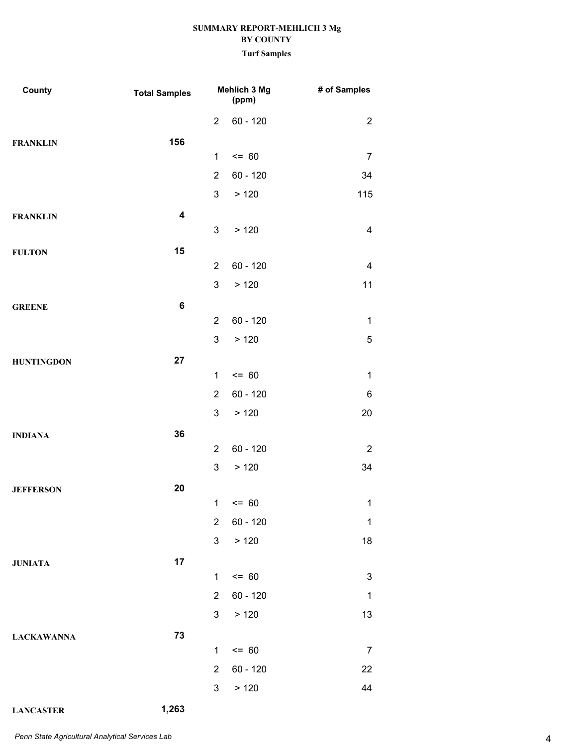| County            | <b>Total Samples</b>    |                | Mehlich 3 Mg<br>(ppm) | # of Samples             |
|-------------------|-------------------------|----------------|-----------------------|--------------------------|
|                   |                         | $\overline{2}$ | $60 - 120$            | $\overline{2}$           |
| <b>FRANKLIN</b>   | 156                     |                |                       |                          |
|                   |                         | $\mathbf 1$    | $= 60$                | $\overline{7}$           |
|                   |                         | $\overline{2}$ | $60 - 120$            | 34                       |
|                   |                         | $\mathfrak{S}$ | > 120                 | 115                      |
| <b>FRANKLIN</b>   | $\overline{\mathbf{4}}$ |                |                       |                          |
|                   |                         | $\mathbf{3}$   | > 120                 | $\overline{4}$           |
| <b>FULTON</b>     | 15                      |                |                       |                          |
|                   |                         | $\overline{2}$ | $60 - 120$            | $\overline{\mathcal{A}}$ |
|                   |                         | $\mathfrak{S}$ | > 120                 | 11                       |
| <b>GREENE</b>     | $\bf 6$                 | $\overline{2}$ | $60 - 120$            | $\mathbf 1$              |
|                   |                         | $\mathfrak{S}$ | > 120                 | $\mathbf 5$              |
|                   |                         |                |                       |                          |
| <b>HUNTINGDON</b> | 27                      | $\mathbf{1}$   | $= 60$                | $\mathbf{1}$             |
|                   |                         | $\overline{2}$ | $60 - 120$            | 6                        |
|                   |                         | 3              | > 120                 | 20                       |
| <b>INDIANA</b>    | 36                      |                |                       |                          |
|                   |                         | $\overline{2}$ | $60 - 120$            | $\overline{2}$           |
|                   |                         | $\mathbf{3}$   | > 120                 | 34                       |
| <b>JEFFERSON</b>  | 20                      |                |                       |                          |
|                   |                         |                | $1 \le 60$            | $\mathbf{1}$             |
|                   |                         | $\overline{2}$ | $60 - 120$            | $\mathbf 1$              |
|                   |                         | 3 <sup>7</sup> | $>120$                | 18                       |
| <b>JUNIATA</b>    | 17                      |                |                       |                          |
|                   |                         | $\mathbf{1}$   | $= 60$                | $\sqrt{3}$               |
|                   |                         | 2 <sup>1</sup> | 60 - 120              | $\mathbf 1$              |
|                   |                         |                | 3 > 120               | 13                       |
| <b>LACKAWANNA</b> | 73                      |                |                       |                          |
|                   |                         | $\mathbf{1}$   | $= 60$                | $\overline{7}$           |
|                   |                         | $\overline{2}$ | $60 - 120$            | 22                       |
|                   |                         | 3 <sup>7</sup> | > 120                 | 44                       |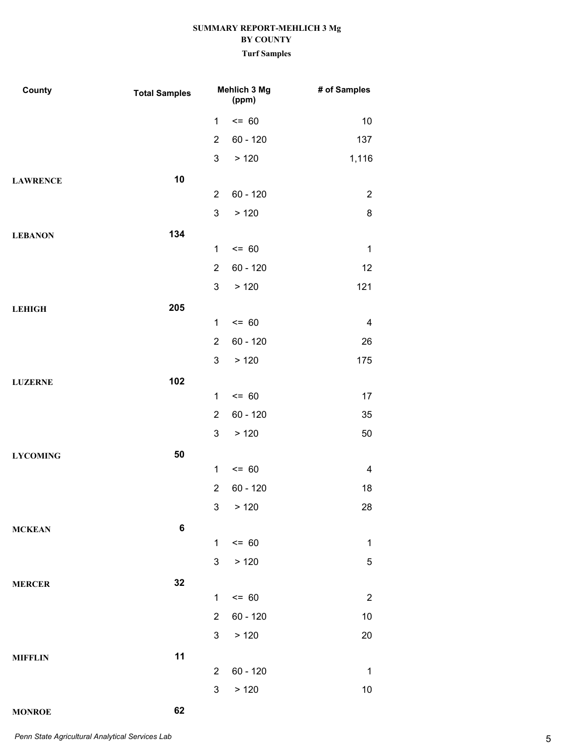| County          | <b>Total Samples</b> | Mehlich 3 Mg<br>(ppm) |            | # of Samples     |
|-----------------|----------------------|-----------------------|------------|------------------|
|                 |                      | $\mathbf 1$           | $= 60$     | 10               |
|                 |                      | $\overline{2}$        | $60 - 120$ | 137              |
|                 |                      | 3                     | > 120      | 1,116            |
| <b>LAWRENCE</b> | 10                   |                       |            |                  |
|                 |                      | $\overline{2}$        | $60 - 120$ | $\overline{2}$   |
|                 |                      | 3                     | > 120      | 8                |
| <b>LEBANON</b>  | 134                  |                       |            |                  |
|                 |                      | $\mathbf{1}$          | $= 60$     | $\mathbf{1}$     |
|                 |                      | $\overline{2}$        | $60 - 120$ | 12               |
|                 |                      | 3                     | > 120      | 121              |
| <b>LEHIGH</b>   | 205                  |                       |            |                  |
|                 |                      | $\mathbf 1$           | $= 60$     | $\overline{4}$   |
|                 |                      | $\overline{2}$        | $60 - 120$ | 26               |
|                 |                      | 3                     | > 120      | 175              |
| <b>LUZERNE</b>  | 102                  |                       |            |                  |
|                 |                      | $\mathbf{1}$          | $= 60$     | 17               |
|                 |                      | $\overline{2}$        | $60 - 120$ | 35               |
|                 |                      | 3                     | > 120      | 50               |
| <b>LYCOMING</b> | 50                   |                       |            |                  |
|                 |                      | $\mathbf 1$           | $= 60$     | $\overline{4}$   |
|                 |                      | $\overline{2}$        | $60 - 120$ | 18               |
|                 |                      | 3 <sup>7</sup>        | > 120      | 28               |
| <b>MCKEAN</b>   | $\bf 6$              |                       |            |                  |
|                 |                      | $\mathbf{1}$          | $= 60$     | $\mathbf{1}$     |
|                 |                      | 3                     | > 120      | $\mathbf 5$      |
| <b>MERCER</b>   | 32                   |                       |            |                  |
|                 |                      | $\mathbf 1$           | $= 60$     | $\boldsymbol{2}$ |
|                 |                      | $\overline{2}$        | $60 - 120$ | $10$             |
|                 |                      | 3                     | > 120      | 20               |
| <b>MIFFLIN</b>  | 11                   |                       |            |                  |
|                 |                      | 2                     | $60 - 120$ | $\mathbf 1$      |
|                 |                      | 3                     | > 120      | $10$             |
| <b>MONROE</b>   | 62                   |                       |            |                  |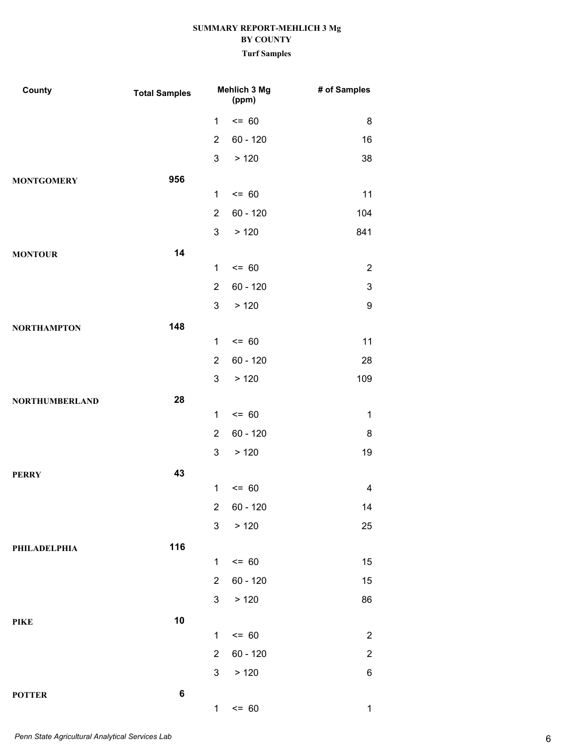| County                | <b>Total Samples</b> |                | Mehlich 3 Mg<br>(ppm) | # of Samples   |
|-----------------------|----------------------|----------------|-----------------------|----------------|
|                       |                      | $\mathbf 1$    | $= 60$                | 8              |
|                       |                      | $\overline{2}$ | $60 - 120$            | 16             |
|                       |                      | $\mathfrak{S}$ | > 120                 | 38             |
| <b>MONTGOMERY</b>     | 956                  |                |                       |                |
|                       |                      | $\mathbf{1}$   | $= 60$                | 11             |
|                       |                      | $\overline{2}$ | $60 - 120$            | 104            |
|                       |                      | 3              | >120                  | 841            |
| <b>MONTOUR</b>        | 14                   |                |                       |                |
|                       |                      | $\mathbf 1$    | $= 60$                | $\overline{2}$ |
|                       |                      | $\overline{2}$ | $60 - 120$            | 3              |
|                       |                      | $\mathfrak{S}$ | >120                  | 9              |
| <b>NORTHAMPTON</b>    | 148                  |                |                       |                |
|                       |                      | $\mathbf 1$    | $= 60$                | 11             |
|                       |                      | $\overline{2}$ | $60 - 120$            | 28             |
|                       |                      | 3              | > 120                 | 109            |
| <b>NORTHUMBERLAND</b> | 28                   |                |                       |                |
|                       |                      | $\mathbf 1$    | $= 60$                | $\mathbf 1$    |
|                       |                      | $\overline{2}$ | $60 - 120$            | 8              |
|                       |                      | 3              | > 120                 | 19             |
| <b>PERRY</b>          | 43                   |                |                       |                |
|                       |                      | $\mathbf 1$    | $= 60$                | 4              |
|                       |                      | $\overline{2}$ | 60 - 120              | 14             |
|                       |                      | $\mathfrak{S}$ | > 120                 | 25             |
| PHILADELPHIA          | 116                  |                |                       |                |
|                       |                      | $\mathbf{1}$   | $= 60$                | 15             |
|                       |                      | $\overline{2}$ | $60 - 120$            | 15             |
|                       |                      | 3 <sup>1</sup> | >120                  | 86             |
| PIKE                  | 10                   |                |                       |                |
|                       |                      | $\mathbf 1$    | $= 60$                | $\overline{2}$ |
|                       |                      | $\overline{2}$ | $60 - 120$            | $\overline{c}$ |
|                       |                      | 3 <sup>1</sup> | > 120                 | 6              |
| <b>POTTER</b>         | $\bf 6$              |                |                       |                |
|                       |                      | $\mathbf{1}$   | $= 60$                | $\mathbf 1$    |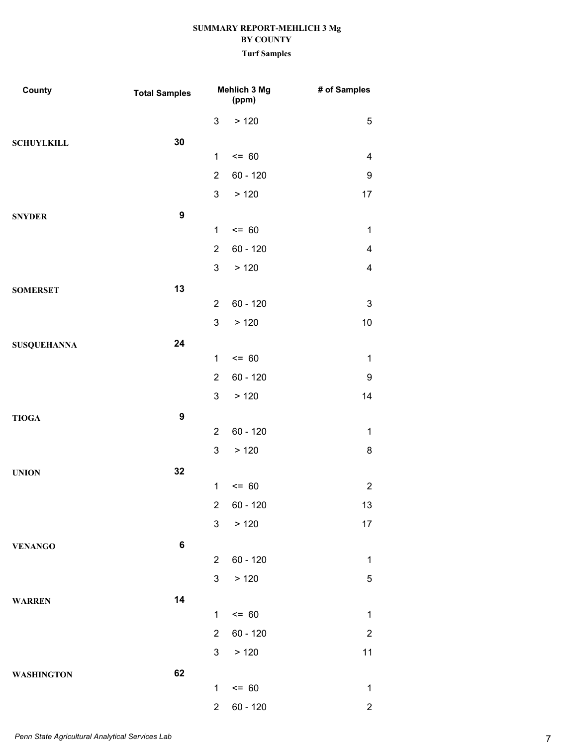| County             | <b>Total Samples</b> |                | Mehlich 3 Mg<br>(ppm) | # of Samples             |
|--------------------|----------------------|----------------|-----------------------|--------------------------|
|                    |                      | 3              | >120                  | 5                        |
| <b>SCHUYLKILL</b>  | 30                   |                |                       |                          |
|                    |                      | $\mathbf 1$    | $= 60$                | $\overline{\mathcal{A}}$ |
|                    |                      | $\overline{2}$ | $60 - 120$            | 9                        |
|                    |                      | $\mathfrak{S}$ | > 120                 | 17                       |
| <b>SNYDER</b>      | $\boldsymbol{9}$     |                |                       |                          |
|                    |                      | $\mathbf 1$    | $= 60$                | $\mathbf{1}$             |
|                    |                      | $\overline{2}$ | 60 - 120              | 4                        |
|                    |                      | $\mathbf{3}$   | >120                  | 4                        |
| <b>SOMERSET</b>    | 13                   |                |                       |                          |
|                    |                      | $\overline{2}$ | $60 - 120$            | 3                        |
|                    |                      | 3              | > 120                 | $10$                     |
| <b>SUSQUEHANNA</b> | 24                   |                |                       |                          |
|                    |                      | $\mathbf 1$    | $= 60$                | $\mathbf{1}$             |
|                    |                      | $\overline{2}$ | $60 - 120$            | 9                        |
|                    |                      | 3              | > 120                 | 14                       |
| <b>TIOGA</b>       | $\boldsymbol{9}$     |                |                       |                          |
|                    |                      | $\overline{2}$ | $60 - 120$            | $\mathbf{1}$             |
|                    |                      | 3              | >120                  | 8                        |
| <b>UNION</b>       | 32                   | $\mathbf 1$    | $= 60$                | $\overline{2}$           |
|                    |                      |                | 2 60 - 120            | 13                       |
|                    |                      | 3 <sup>1</sup> | > 120                 | 17                       |
|                    | $\bf 6$              |                |                       |                          |
| <b>VENANGO</b>     |                      | $\overline{2}$ | $60 - 120$            | $\mathbf{1}$             |
|                    |                      | 3 <sup>7</sup> | > 120                 | 5                        |
| <b>WARREN</b>      | 14                   |                |                       |                          |
|                    |                      | $\mathbf{1}$   | $= 60$                | $\mathbf{1}$             |
|                    |                      | $\overline{2}$ | $60 - 120$            | $\overline{2}$           |
|                    |                      | 3 <sup>7</sup> | >120                  | 11                       |
| <b>WASHINGTON</b>  | 62                   |                |                       |                          |
|                    |                      | $\mathbf 1$    | $= 60$                | $\mathbf{1}$             |
|                    |                      | $2^{\circ}$    | $60 - 120$            | $\overline{2}$           |